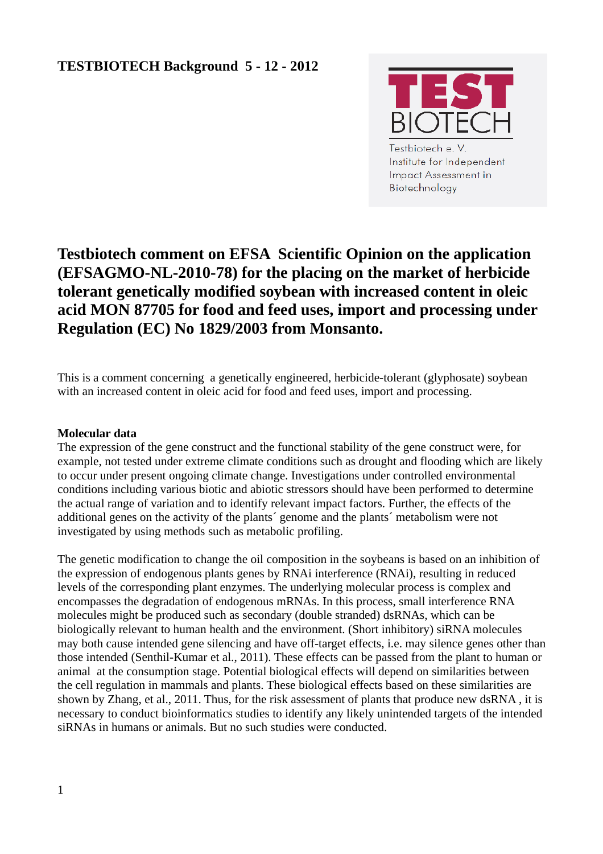

Testbiotech e.V. Institute for Independent **Impact Assessment in** Biotechnology

# **Testbiotech comment on EFSA Scientific Opinion on the application (EFSAGMO-NL-2010-78) for the placing on the market of herbicide tolerant genetically modified soybean with increased content in oleic acid MON 87705 for food and feed uses, import and processing under Regulation (EC) No 1829/2003 from Monsanto.**

This is a comment concerning a genetically engineered, herbicide-tolerant (glyphosate) soybean with an increased content in oleic acid for food and feed uses, import and processing.

# **Molecular data**

The expression of the gene construct and the functional stability of the gene construct were, for example, not tested under extreme climate conditions such as drought and flooding which are likely to occur under present ongoing climate change. Investigations under controlled environmental conditions including various biotic and abiotic stressors should have been performed to determine the actual range of variation and to identify relevant impact factors. Further, the effects of the additional genes on the activity of the plants´ genome and the plants´ metabolism were not investigated by using methods such as metabolic profiling.

The genetic modification to change the oil composition in the soybeans is based on an inhibition of the expression of endogenous plants genes by RNAi interference (RNAi), resulting in reduced levels of the corresponding plant enzymes. The underlying molecular process is complex and encompasses the degradation of endogenous mRNAs. In this process, small interference RNA molecules might be produced such as secondary (double stranded) dsRNAs, which can be biologically relevant to human health and the environment. (Short inhibitory) siRNA molecules may both cause intended gene silencing and have off-target effects, i.e. may silence genes other than those intended (Senthil-Kumar et al., 2011). These effects can be passed from the plant to human or animal at the consumption stage. Potential biological effects will depend on similarities between the cell regulation in mammals and plants. These biological effects based on these similarities are shown by Zhang, et al., 2011. Thus, for the risk assessment of plants that produce new dsRNA , it is necessary to conduct bioinformatics studies to identify any likely unintended targets of the intended siRNAs in humans or animals. But no such studies were conducted.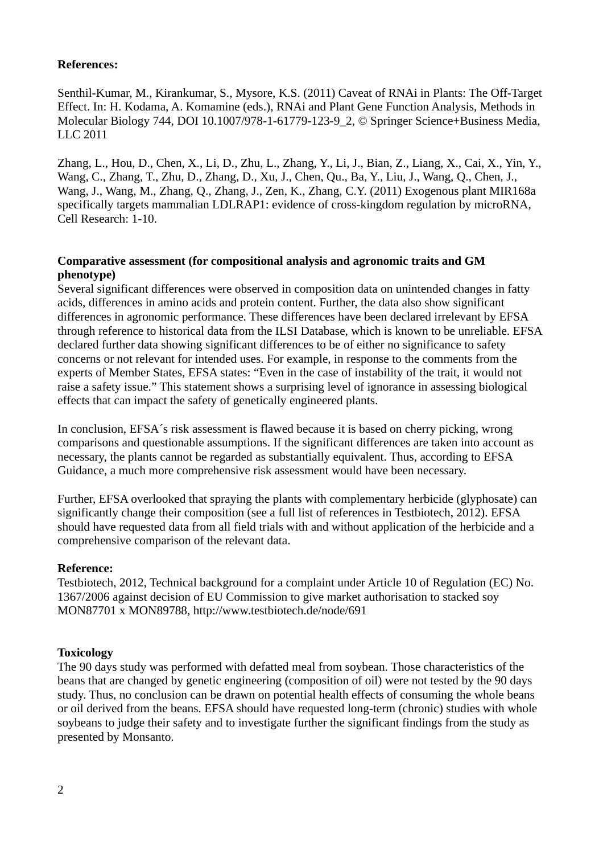## **References:**

Senthil-Kumar, M., Kirankumar, S., Mysore, K.S. (2011) Caveat of RNAi in Plants: The Off-Target Effect. In: H. Kodama, A. Komamine (eds.), RNAi and Plant Gene Function Analysis, Methods in Molecular Biology 744, DOI 10.1007/978-1-61779-123-9\_2, © Springer Science+Business Media, LLC 2011

Zhang, L., Hou, D., Chen, X., Li, D., Zhu, L., Zhang, Y., Li, J., Bian, Z., Liang, X., Cai, X., Yin, Y., Wang, C., Zhang, T., Zhu, D., Zhang, D., Xu, J., Chen, Qu., Ba, Y., Liu, J., Wang, Q., Chen, J., Wang, J., Wang, M., Zhang, Q., Zhang, J., Zen, K., Zhang, C.Y. (2011) Exogenous plant MIR168a specifically targets mammalian LDLRAP1: evidence of cross-kingdom regulation by microRNA, Cell Research: 1-10.

## **Comparative assessment (for compositional analysis and agronomic traits and GM phenotype)**

Several significant differences were observed in composition data on unintended changes in fatty acids, differences in amino acids and protein content. Further, the data also show significant differences in agronomic performance. These differences have been declared irrelevant by EFSA through reference to historical data from the ILSI Database, which is known to be unreliable. EFSA declared further data showing significant differences to be of either no significance to safety concerns or not relevant for intended uses. For example, in response to the comments from the experts of Member States, EFSA states: "Even in the case of instability of the trait, it would not raise a safety issue." This statement shows a surprising level of ignorance in assessing biological effects that can impact the safety of genetically engineered plants.

In conclusion, EFSA´s risk assessment is flawed because it is based on cherry picking, wrong comparisons and questionable assumptions. If the significant differences are taken into account as necessary, the plants cannot be regarded as substantially equivalent. Thus, according to EFSA Guidance, a much more comprehensive risk assessment would have been necessary.

Further, EFSA overlooked that spraying the plants with complementary herbicide (glyphosate) can significantly change their composition (see a full list of references in Testbiotech, 2012). EFSA should have requested data from all field trials with and without application of the herbicide and a comprehensive comparison of the relevant data.

#### **Reference:**

Testbiotech, 2012, Technical background for a complaint under Article 10 of Regulation (EC) No. 1367/2006 against decision of EU Commission to give market authorisation to stacked soy MON87701 x MON89788, http://www.testbiotech.de/node/691

# **Toxicology**

The 90 days study was performed with defatted meal from soybean. Those characteristics of the beans that are changed by genetic engineering (composition of oil) were not tested by the 90 days study. Thus, no conclusion can be drawn on potential health effects of consuming the whole beans or oil derived from the beans. EFSA should have requested long-term (chronic) studies with whole soybeans to judge their safety and to investigate further the significant findings from the study as presented by Monsanto.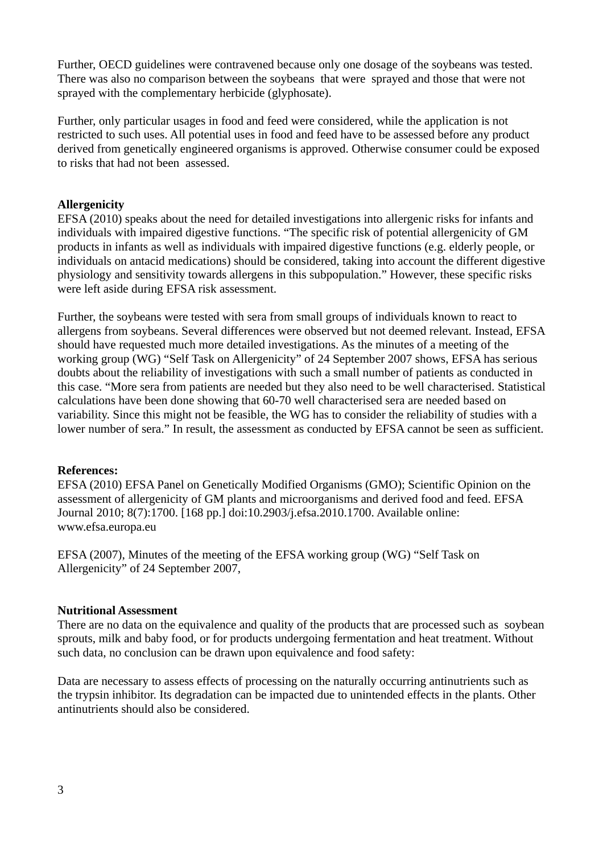Further, OECD guidelines were contravened because only one dosage of the soybeans was tested. There was also no comparison between the soybeans that were sprayed and those that were not sprayed with the complementary herbicide (glyphosate).

Further, only particular usages in food and feed were considered, while the application is not restricted to such uses. All potential uses in food and feed have to be assessed before any product derived from genetically engineered organisms is approved. Otherwise consumer could be exposed to risks that had not been assessed.

# **Allergenicity**

EFSA (2010) speaks about the need for detailed investigations into allergenic risks for infants and individuals with impaired digestive functions. "The specific risk of potential allergenicity of GM products in infants as well as individuals with impaired digestive functions (e.g. elderly people, or individuals on antacid medications) should be considered, taking into account the different digestive physiology and sensitivity towards allergens in this subpopulation." However, these specific risks were left aside during EFSA risk assessment.

Further, the soybeans were tested with sera from small groups of individuals known to react to allergens from soybeans. Several differences were observed but not deemed relevant. Instead, EFSA should have requested much more detailed investigations. As the minutes of a meeting of the working group (WG) "Self Task on Allergenicity" of 24 September 2007 shows, EFSA has serious doubts about the reliability of investigations with such a small number of patients as conducted in this case. "More sera from patients are needed but they also need to be well characterised. Statistical calculations have been done showing that 60-70 well characterised sera are needed based on variability. Since this might not be feasible, the WG has to consider the reliability of studies with a lower number of sera." In result, the assessment as conducted by EFSA cannot be seen as sufficient.

# **References:**

EFSA (2010) EFSA Panel on Genetically Modified Organisms (GMO); Scientific Opinion on the assessment of allergenicity of GM plants and microorganisms and derived food and feed. EFSA Journal 2010; 8(7):1700. [168 pp.] doi:10.2903/j.efsa.2010.1700. Available online: www.efsa.europa.eu

EFSA (2007), Minutes of the meeting of the EFSA working group (WG) "Self Task on Allergenicity" of 24 September 2007,

# **Nutritional Assessment**

There are no data on the equivalence and quality of the products that are processed such as soybean sprouts, milk and baby food, or for products undergoing fermentation and heat treatment. Without such data, no conclusion can be drawn upon equivalence and food safety:

Data are necessary to assess effects of processing on the naturally occurring antinutrients such as the trypsin inhibitor. Its degradation can be impacted due to unintended effects in the plants. Other antinutrients should also be considered.